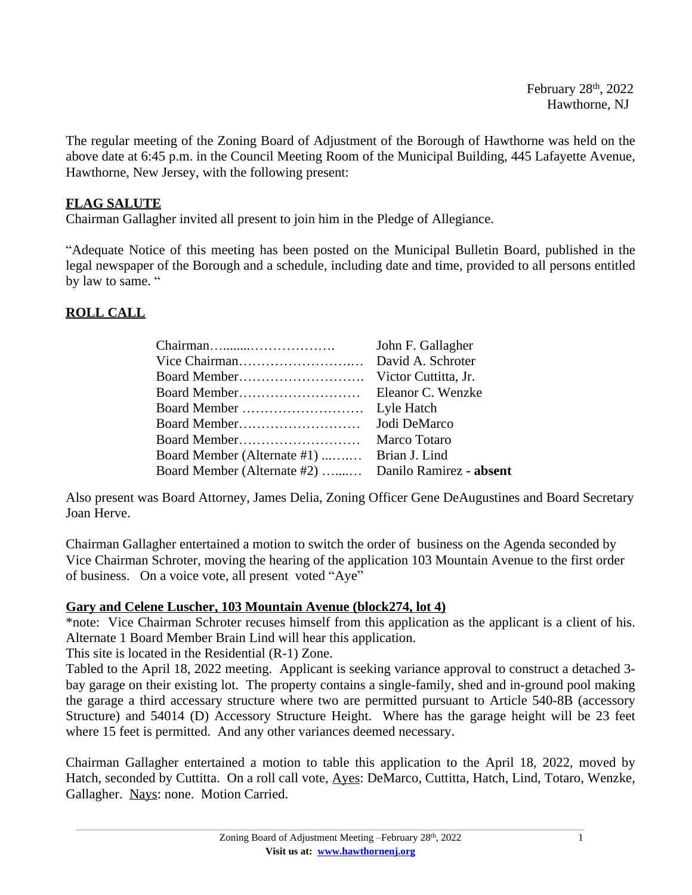[The](http://www.hawthornenj.org) [regular](http://www.hawthornenj.org) [meeting](http://www.hawthornenj.org) of the Zoning Board of [Adjustment](http://www.hawthornenj.org) of the Borough of [Hawthorne](http://www.hawthornenj.org) was [held](http://www.hawthornenj.org) on the [above](http://www.hawthornenj.org) date [at](http://www.hawthornenj.org) [6:45](http://www.hawthornenj.org) [p.m.](http://www.hawthornenj.org) [in](http://www.hawthornenj.org) the Council Meeting Room of the [Municipal](http://www.hawthornenj.org) Building, 445 Lafayett[e](http://www.hawthornenj.org) [Avenue,](http://www.hawthornenj.org) [Hawthorne, New Jersey, with the following present:](http://www.hawthornenj.org)

# **[FLAG SALUTE](http://www.hawthornenj.org)**

[Chairman](http://www.hawthornenj.org) [Gallagher](http://www.hawthornenj.org) [invited all present to join him in the Pledge of Allegiance.](http://www.hawthornenj.org)

"Adequate Notice of this meeting has been posted on the [Municipal](http://www.hawthornenj.org) Bulletin Board, published in the legal [newspaper](http://www.hawthornenj.org) of [the](http://www.hawthornenj.org) [Bo](http://www.hawthornenj.org)rough and a schedule, [including](http://www.hawthornenj.org) date and time, prov[ided](http://www.hawthornenj.org) to all [p](http://www.hawthornenj.org)ersons [entitled](http://www.hawthornenj.org) [by law to same.](http://www.hawthornenj.org) "

# **[ROLL CALL](http://www.hawthornenj.org)**

|                             | John F. Gallagher       |
|-----------------------------|-------------------------|
|                             | David A. Schroter       |
|                             | Victor Cuttitta, Jr.    |
|                             | Eleanor C. Wenzke       |
|                             | Lyle Hatch              |
|                             | Jodi DeMarco            |
|                             | Marco Totaro            |
| Board Member (Alternate #1) | Brian J. Lind           |
| Board Member (Alternate #2) | Danilo Ramirez - absent |

[Also present was Board Attorney, James Delia,](http://www.hawthornenj.org) [Zoning Officer Gene DeAugustines](http://www.hawthornenj.org) [and Board Secretary](http://www.hawthornenj.org) [Joan Herve.](http://www.hawthornenj.org)

[Chairman Gallagher entertained a motion to switch the order of](http://www.hawthornenj.org) [business](http://www.hawthornenj.org) [on the Agenda seconded by](http://www.hawthornenj.org)  [Vice Chairman Schroter, moving the hearing of the application 103 Mountain Avenue to the first order](http://www.hawthornenj.org)  [of business. On a voice vote, all present voted](http://www.hawthornenj.org) ["](http://www.hawthornenj.org)[Aye](http://www.hawthornenj.org)["](http://www.hawthornenj.org)

# **[Gary and Celene Luscher, 103 Mountain Avenue \(block274, lot 4\)](http://www.hawthornenj.org)**

\*note: Vice [Chairman](http://www.hawthornenj.org) Schroter recuses himself from this [application](http://www.hawthornenj.org) as the [applicant](http://www.hawthornenj.org) is a client of his. [Alternate 1](http://www.hawthornenj.org) [Board Member Brain Lind will hear this application.](http://www.hawthornenj.org)

[This site is located in the](http://www.hawthornenj.org) [Residential \(R-1\) Zone.](http://www.hawthornenj.org)

[Tabled](http://www.hawthornenj.org) [t](http://www.hawthornenj.org)o [the](http://www.hawthornenj.org) [April](http://www.hawthornenj.org) 18, [2022](http://www.hawthornenj.org) [meeting.](http://www.hawthornenj.org) [Applicant](http://www.hawthornenj.org) is seeking [variance](http://www.hawthornenj.org) [approval](http://www.hawthornenj.org) to [construct](http://www.hawthornenj.org) a [detached](http://www.hawthornenj.org) [3](http://www.hawthornenj.org) bay [garage](http://www.hawthornenj.org) on their exis[ting](http://www.hawthornenj.org) lot. The [prope](http://www.hawthornenj.org)rty [cont](http://www.hawthornenj.org)ains a [single-family](http://www.hawthornenj.org), [she](http://www.hawthornenj.org)d [and](http://www.hawthornenj.org) [in-ground](http://www.hawthornenj.org) pool [making](http://www.hawthornenj.org) the garage a third [accessary](http://www.hawthornenj.org) [structure](http://www.hawthornenj.org) [where](http://www.hawthornenj.org) t[wo](http://www.hawthornenj.org) are [permitted](http://www.hawthornenj.org) [pursuant](http://www.hawthornenj.org) to [Art](http://www.hawthornenj.org)icle [540-8B](http://www.hawthornenj.org) [\(accessory](http://www.hawthornenj.org) [Structure](http://www.hawthornenj.org)) and [54014](http://www.hawthornenj.org) (D) [Accessory](http://www.hawthornenj.org) [Structure](http://www.hawthornenj.org) [Height.](http://www.hawthornenj.org) [Wh](http://www.hawthornenj.org)ere has the [garage](http://www.hawthornenj.org) height will be 23 [feet](http://www.hawthornenj.org) [where 15 feet is permitted. And any other variances deemed necessary.](http://www.hawthornenj.org)

[Chairman](http://www.hawthornenj.org) [Gallagher](http://www.hawthornenj.org) [entertained](http://www.hawthornenj.org) a motion to [table](http://www.hawthornenj.org) this ap[plication](http://www.hawthornenj.org) to the [April](http://www.hawthornenj.org) 18, [2022](http://www.hawthornenj.org), [moved](http://www.hawthornenj.org) by [Hatch,](http://www.hawthornenj.org) [seconded](http://www.hawthornenj.org) [by](http://www.hawthornenj.org) [Cuttitta.](http://www.hawthornenj.org) On a roll [call](http://www.hawthornenj.org) [vote,](http://www.hawthornenj.org) [Ayes:](http://www.hawthornenj.org) [DeMarco,](http://www.hawthornenj.org) [Cuttitta,](http://www.hawthornenj.org) Hatch, [Lind,](http://www.hawthornenj.org) [Totaro,](http://www.hawthornenj.org) [Wenzke,](http://www.hawthornenj.org) [Gallagher. Nays: none. Motion Carried.](http://www.hawthornenj.org)